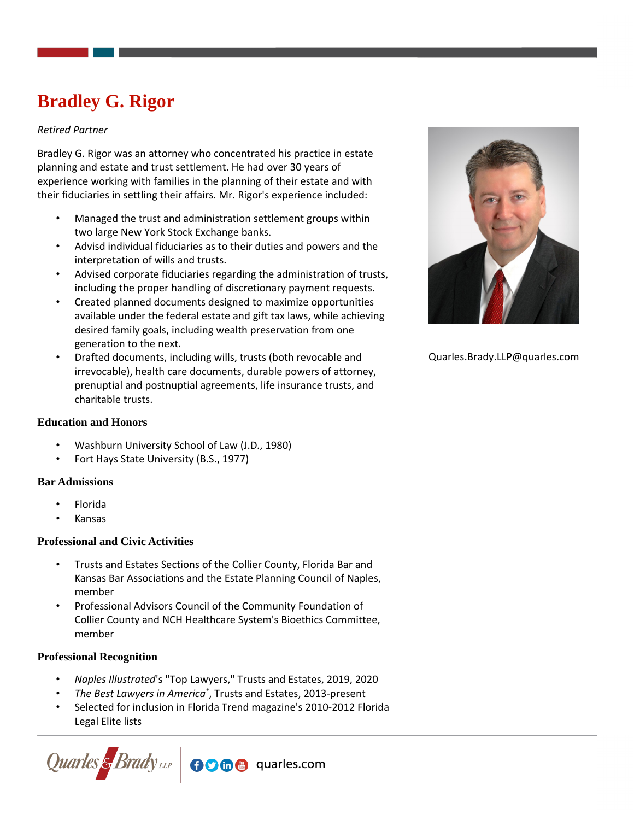# **Bradley G. Rigor**

# *Retired Partner*

Bradley G. Rigor was an attorney who concentrated his practice in estate planning and estate and trust settlement. He had over 30 years of experience working with families in the planning of their estate and with their fiduciaries in settling their affairs. Mr. Rigor's experience included:

- Managed the trust and administration settlement groups within two large New York Stock Exchange banks.
- Advisd individual fiduciaries as to their duties and powers and the interpretation of wills and trusts.
- Advised corporate fiduciaries regarding the administration of trusts, including the proper handling of discretionary payment requests.
- Created planned documents designed to maximize opportunities available under the federal estate and gift tax laws, while achieving desired family goals, including wealth preservation from one generation to the next.
- Drafted documents, including wills, trusts (both revocable and irrevocable), health care documents, durable powers of attorney, prenuptial and postnuptial agreements, life insurance trusts, and charitable trusts.



- Washburn University School of Law (J.D., 1980)
- Fort Hays State University (B.S., 1977)

### **Bar Admissions**

- Florida
- Kansas

# **Professional and Civic Activities**

- Trusts and Estates Sections of the Collier County, Florida Bar and Kansas Bar Associations and the Estate Planning Council of Naples, member
- Professional Advisors Council of the Community Foundation of Collier County and NCH Healthcare System's Bioethics Committee, member

# **Professional Recognition**

- *Naples Illustrated*'s "Top Lawyers," Trusts and Estates, 2019, 2020
- *The Best Lawyers in America®* , Trusts and Estates, 2013-present
- Selected for inclusion in Florida Trend magazine's 2010-2012 Florida Legal Elite lists





Quarles.Brady.LLP@quarles.com